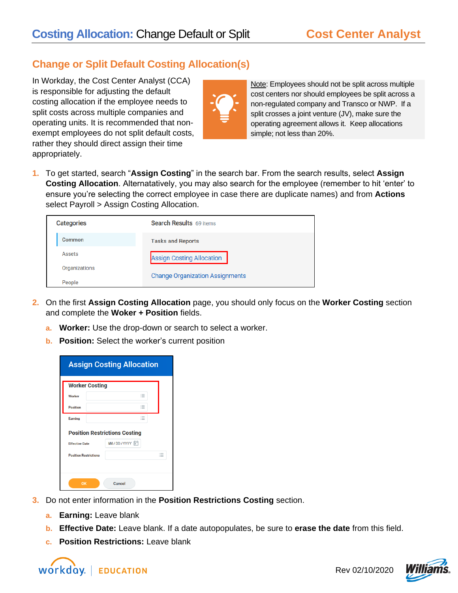## **Change or Split Default Costing Allocation(s)**

In Workday, the Cost Center Analyst (CCA) is responsible for adjusting the default costing allocation if the employee needs to split costs across multiple companies and operating units. It is recommended that nonexempt employees do not split default costs, rather they should direct assign their time appropriately.



Note: Employees should not be split across multiple cost centers nor should employees be split across a non-regulated company and Transco or NWP. If a split crosses a joint venture (JV), make sure the operating agreement allows it. Keep allocations simple; not less than 20%.

**1.** To get started, search "**Assign Costing**" in the search bar. From the search results, select **Assign Costing Allocation**. Alternatatively, you may also search for the employee (remember to hit 'enter' to ensure you're selecting the correct employee in case there are duplicate names) and from **Actions** select Payroll > Assign Costing Allocation.

| <b>Categories</b> | Search Results 69 items                |
|-------------------|----------------------------------------|
| Common            | <b>Tasks and Reports</b>               |
| Assets            | <b>Assign Costing Allocation</b>       |
| Organizations     | <b>Change Organization Assignments</b> |
| People            |                                        |

- **2.** On the first **Assign Costing Allocation** page, you should only focus on the **Worker Costing** section and complete the **Woker + Position** fields.
	- **a. Worker:** Use the drop-down or search to select a worker.
	- **b. Position:** Select the worker's current position

| <b>Assign Costing Allocation</b> |  |                                      |   |                                    |
|----------------------------------|--|--------------------------------------|---|------------------------------------|
| <b>Worker Costing</b>            |  |                                      |   |                                    |
| Worker                           |  |                                      | 這 |                                    |
| <b>Position</b>                  |  |                                      | ≔ |                                    |
| Earning                          |  |                                      | 這 |                                    |
|                                  |  | <b>Position Restrictions Costing</b> |   |                                    |
| <b>Effective Date</b>            |  | MM / DD / YYYYY                      |   |                                    |
| <b>Position Restrictions</b>     |  |                                      |   | $\overline{\phantom{a}}$<br>$\sim$ |
|                                  |  |                                      |   |                                    |
| OK                               |  | Cancel                               |   |                                    |

- **3.** Do not enter information in the **Position Restrictions Costing** section.
	- **a. Earning:** Leave blank
	- **b. Effective Date:** Leave blank. If a date autopopulates, be sure to **erase the date** from this field.
	- **c. Position Restrictions:** Leave blank



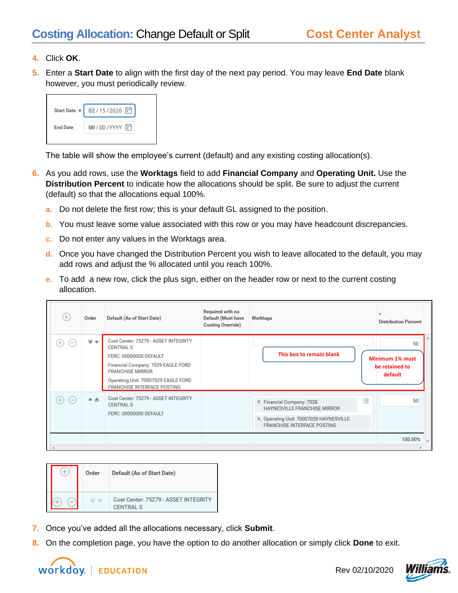- **4.** Click **OK**.
- **5.** Enter a **Start Date** to align with the first day of the next pay period. You may leave **End Date** blank however, you must periodically review.

|                 | Start Date * 02/15/2020 □ |
|-----------------|---------------------------|
| <b>End Date</b> | MM / DD / YYYYY           |

The table will show the employee's current (default) and any existing costing allocation(s).

- **6.** As you add rows, use the **Worktags** field to add **Financial Company** and **Operating Unit.** Use the **Distribution Percent** to indicate how the allocations should be split. Be sure to adjust the current (default) so that the allocations equal 100%.
	- **a.** Do not delete the first row; this is your default GL assigned to the position.
	- **b.** You must leave some value associated with this row or you may have headcount discrepancies.
	- **c.** Do not enter any values in the Worktags area.
	- **d.** Once you have changed the Distribution Percent you wish to leave allocated to the default, you may add rows and adjust the % allocated until you reach 100%.
	- **e.** To add a new row, click the plus sign, either on the header row or next to the current costing allocation.

| $(+)$                    | Order                   | <b>Default (As of Start Date)</b>                                                                                                                                                                                                | <b>Required with no</b><br><b>Default (Must have</b><br><b>Costing Override)</b> | <b>Worktags</b>                                                                                                                                                              | <b>Distribution Percent</b>                        |
|--------------------------|-------------------------|----------------------------------------------------------------------------------------------------------------------------------------------------------------------------------------------------------------------------------|----------------------------------------------------------------------------------|------------------------------------------------------------------------------------------------------------------------------------------------------------------------------|----------------------------------------------------|
| $\overline{\phantom{a}}$ | $\overline{\mathbf{v}}$ | Cost Center: 75279 - ASSET INTEGRITY<br><b>CENTRAL S</b><br>FERC: 00000000 DEFAULT<br>Financial Company: 7029 EAGLE FORD<br><b>FRANCHISE MIRROR</b><br>Operating Unit: 70007029 EAGLE FORD<br><b>FRANCHISE INTERFACE POSTING</b> |                                                                                  | This box to remain blank                                                                                                                                                     | 50<br>Minimum 1% must<br>be retained to<br>default |
| $-$                      | ዹ                       | Cost Center: 75279 - ASSET INTEGRITY<br><b>CENTRAL S</b><br>FERC: 00000000 DEFAULT                                                                                                                                               |                                                                                  | X Financial Company: 7028<br>$\overline{\phantom{a}}$<br><b>HAYNESVILLE FRANCHISE MIRROR</b><br>X Operating Unit: 70007028 HAYNESVILLE<br><b>FRANCHISE INTERFACE POSTING</b> | 50                                                 |
|                          |                         |                                                                                                                                                                                                                                  |                                                                                  |                                                                                                                                                                              | 100.00%                                            |
|                          |                         |                                                                                                                                                                                                                                  |                                                                                  |                                                                                                                                                                              |                                                    |

|  | Order | Default (As of Start Date)                        |
|--|-------|---------------------------------------------------|
|  |       | Cost Center: 75279 - ASSET INTEGRITY<br>CENTRAL S |

- **7.** Once you've added all the allocations necessary, click **Submit**.
- **8.** On the completion page, you have the option to do another allocation or simply click **Done** to exit.